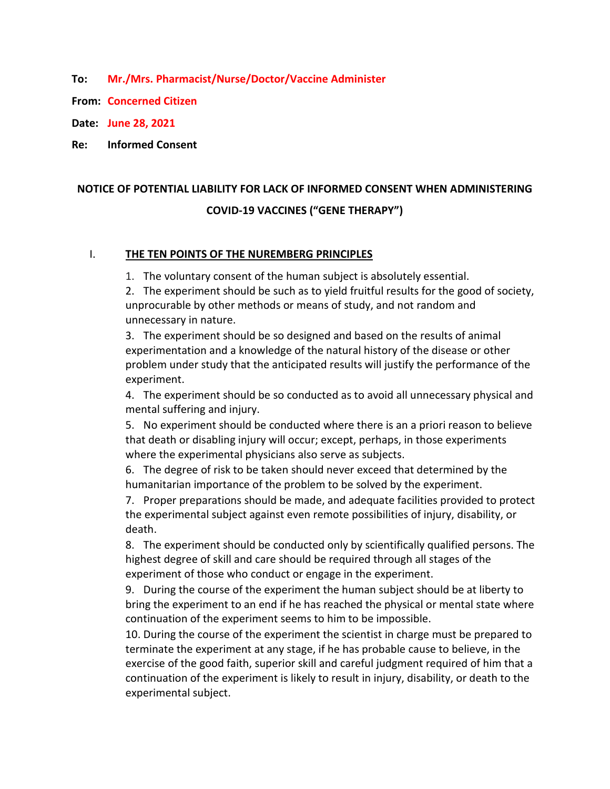**To: Mr./Mrs. Pharmacist/Nurse/Doctor/Vaccine Administer**

**From: Concerned Citizen**

**Date: June 28, 2021**

**Re: Informed Consent**

## **NOTICE OF POTENTIAL LIABILITY FOR LACK OF INFORMED CONSENT WHEN ADMINISTERING COVID-19 VACCINES ("GENE THERAPY")**

## I. **THE TEN POINTS OF THE NUREMBERG PRINCIPLES**

1. The voluntary consent of the human subject is absolutely essential.

2. The experiment should be such as to yield fruitful results for the good of society, unprocurable by other methods or means of study, and not random and unnecessary in nature.

3. The experiment should be so designed and based on the results of animal experimentation and a knowledge of the natural history of the disease or other problem under study that the anticipated results will justify the performance of the experiment.

4. The experiment should be so conducted as to avoid all unnecessary physical and mental suffering and injury.

5. No experiment should be conducted where there is an a priori reason to believe that death or disabling injury will occur; except, perhaps, in those experiments where the experimental physicians also serve as subjects.

6. The degree of risk to be taken should never exceed that determined by the humanitarian importance of the problem to be solved by the experiment.

7. Proper preparations should be made, and adequate facilities provided to protect the experimental subject against even remote possibilities of injury, disability, or death.

8. The experiment should be conducted only by scientifically qualified persons. The highest degree of skill and care should be required through all stages of the experiment of those who conduct or engage in the experiment.

9. During the course of the experiment the human subject should be at liberty to bring the experiment to an end if he has reached the physical or mental state where continuation of the experiment seems to him to be impossible.

10. During the course of the experiment the scientist in charge must be prepared to terminate the experiment at any stage, if he has probable cause to believe, in the exercise of the good faith, superior skill and careful judgment required of him that a continuation of the experiment is likely to result in injury, disability, or death to the experimental subject.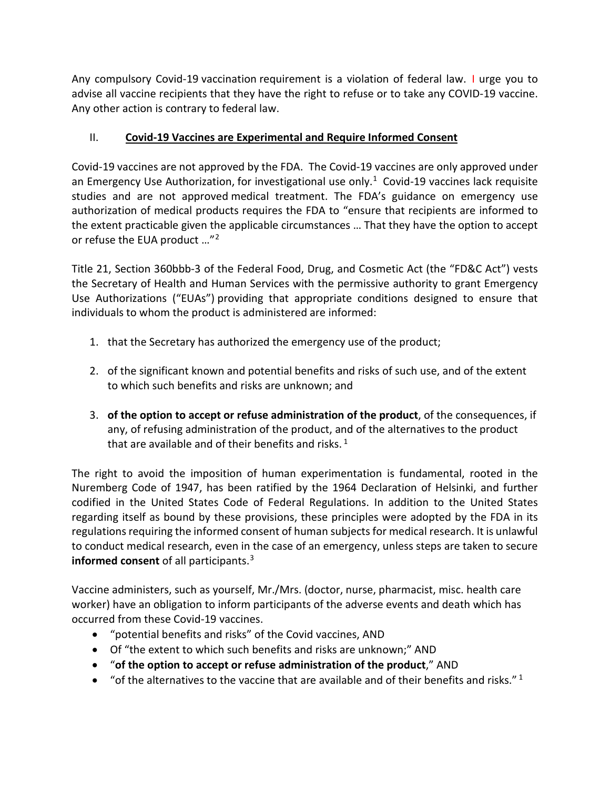Any compulsory Covid-19 vaccination requirement is a violation of federal law. I urge you to advise all vaccine recipients that they have the right to refuse or to take any COVID-19 vaccine. Any other action is contrary to federal law.

## II. **Covid-19 Vaccines are Experimental and Require Informed Consent**

Covid-19 vaccines are not approved by the FDA. The Covid-19 vaccines are only approved under an Emergency Use Authorization, for investigational use only.<sup>[1](#page-3-0)</sup> Covid-19 vaccines lack requisite studies and are not approved medical treatment. The FDA's guidance on emergency use authorization of medical products requires the FDA to "ensure that recipients are informed to the extent practicable given the applicable circumstances … That they have the option to accept or refuse the EUA product …"[2](#page-3-1)

Title 21, Section 360bbb-3 of the Federal Food, Drug, and Cosmetic Act (the "FD&C Act") vests the Secretary of Health and Human Services with the permissive authority to grant Emergency Use Authorizations ("EUAs") providing that appropriate conditions designed to ensure that individuals to whom the product is administered are informed:

- 1. that the Secretary has authorized the emergency use of the product;
- 2. of the significant known and potential benefits and risks of such use, and of the extent to which such benefits and risks are unknown; and
- 3. **of the option to accept or refuse administration of the product**, of the consequences, if any, of refusing administration of the product, and of the alternatives to the product that are available and of their benefits and risks.<sup>1</sup>

The right to avoid the imposition of human experimentation is fundamental, rooted in the Nuremberg Code of 1947, has been ratified by the 1964 Declaration of Helsinki, and further codified in the United States Code of Federal Regulations. In addition to the United States regarding itself as bound by these provisions, these principles were adopted by the FDA in its regulations requiring the informed consent of human subjects for medical research. It is unlawful to conduct medical research, even in the case of an emergency, unless steps are taken to secure **informed consent** of all participants.[3](#page-3-2)

Vaccine administers, such as yourself, Mr./Mrs. (doctor, nurse, pharmacist, misc. health care worker) have an obligation to inform participants of the adverse events and death which has occurred from these Covid-19 vaccines.

- "potential benefits and risks" of the Covid vaccines, AND
- Of "the extent to which such benefits and risks are unknown;" AND
- "**of the option to accept or refuse administration of the product**," AND
- "of the alternatives to the vaccine that are available and of their benefits and risks."<sup>1</sup>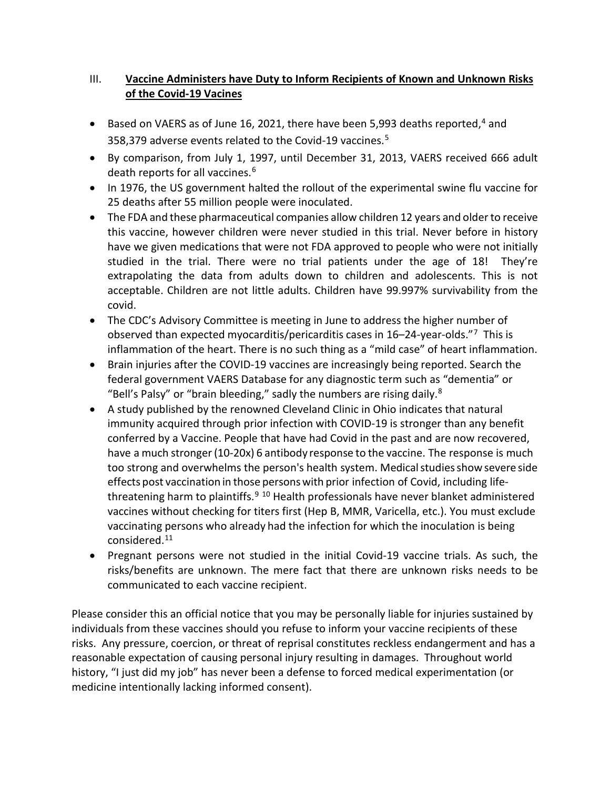## III. **Vaccine Administers have Duty to Inform Recipients of Known and Unknown Risks of the Covid-19 Vacines**

- $\bullet$  Based on VAERS as of June 16, 2021, there have been 5,993 deaths reported,<sup>[4](#page-3-3)</sup> and 358,379 adverse events related to the Covid-19 vaccines.[5](#page-3-4)
- By comparison, from July 1, 1997, until December 31, 2013, VAERS received 666 adult death reports for all vaccines.[6](#page-3-5)
- In 1976, the US government halted the rollout of the experimental swine flu vaccine for 25 deaths after 55 million people were inoculated.
- The FDA and these pharmaceutical companies allow children 12 years and older to receive this vaccine, however children were never studied in this trial. Never before in history have we given medications that were not FDA approved to people who were not initially studied in the trial. There were no trial patients under the age of 18! They're extrapolating the data from adults down to children and adolescents. This is not acceptable. Children are not little adults. Children have 99.997% survivability from the covid.
- The CDC's Advisory Committee is meeting in June to address the higher number of observed than expected myocarditis/pericarditis cases in 16–24-year-olds."[7](#page-3-6) This is inflammation of the heart. There is no such thing as a "mild case" of heart inflammation.
- Brain injuries after the COVID-19 vaccines are increasingly being reported. Search the federal government VAERS Database for any diagnostic term such as "dementia" or "Bell's Palsy" or "brain bleeding," sadly the numbers are rising daily.<sup>[8](#page-3-7)</sup>
- A study published by the renowned Cleveland Clinic in Ohio indicates that natural immunity acquired through prior infection with COVID-19 is stronger than any benefit conferred by a Vaccine. People that have had Covid in the past and are now recovered, have a much stronger(10-20x) 6 antibody response to the vaccine. The response is much too strong and overwhelms the person's health system. Medical studies show severe side effects post vaccination in those personswith prior infection of Covid, including life-threatening harm to plaintiffs.<sup>[9](#page-3-8) [10](#page-3-9)</sup> Health professionals have never blanket administered vaccines without checking for titers first (Hep B, MMR, Varicella, etc.). You must exclude vaccinating persons who already had the infection for which the inoculation is being considered[.11](#page-3-10)
- Pregnant persons were not studied in the initial Covid-19 vaccine trials. As such, the risks/benefits are unknown. The mere fact that there are unknown risks needs to be communicated to each vaccine recipient.

Please consider this an official notice that you may be personally liable for injuries sustained by individuals from these vaccines should you refuse to inform your vaccine recipients of these risks. Any pressure, coercion, or threat of reprisal constitutes reckless endangerment and has a reasonable expectation of causing personal injury resulting in damages. Throughout world history, "I just did my job" has never been a defense to forced medical experimentation (or medicine intentionally lacking informed consent).